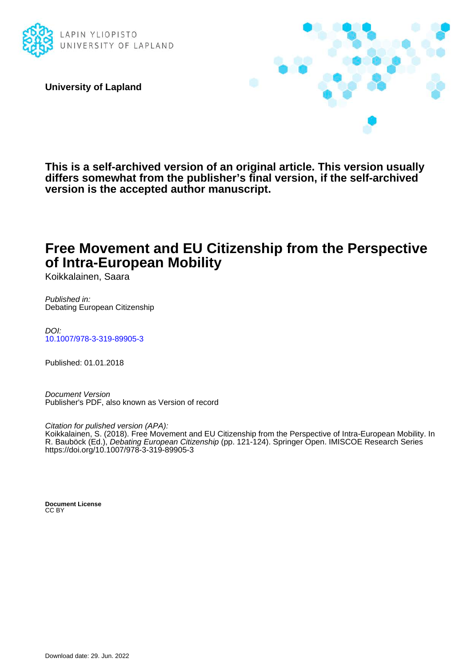

**University of Lapland**



**This is a self-archived version of an original article. This version usually differs somewhat from the publisher's final version, if the self-archived version is the accepted author manuscript.**

# **Free Movement and EU Citizenship from the Perspective of Intra-European Mobility**

Koikkalainen, Saara

Published in: Debating European Citizenship

DOI: [10.1007/978-3-319-89905-3](https://doi.org/10.1007/978-3-319-89905-3)

Published: 01.01.2018

Document Version Publisher's PDF, also known as Version of record

Citation for pulished version (APA): Koikkalainen, S. (2018). Free Movement and EU Citizenship from the Perspective of Intra-European Mobility. In R. Bauböck (Ed.), *Debating European Citizenship* (pp. 121-124). Springer Open. IMISCOE Research Series <https://doi.org/10.1007/978-3-319-89905-3>

**Document License** CC BY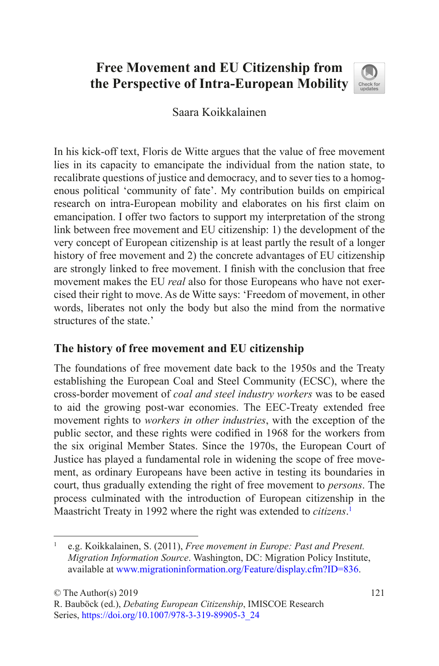## **Free Movement and EU Citizenship from the Perspective of Intra-European Mobility**



Saara Koikkalainen

In his kick-off text, Floris de Witte argues that the value of free movement lies in its capacity to emancipate the individual from the nation state, to recalibrate questions of justice and democracy, and to sever ties to a homogenous political 'community of fate'. My contribution builds on empirical research on intra-European mobility and elaborates on his first claim on emancipation. I offer two factors to support my interpretation of the strong link between free movement and EU citizenship: 1) the development of the very concept of European citizenship is at least partly the result of a longer history of free movement and 2) the concrete advantages of EU citizenship are strongly linked to free movement. I finish with the conclusion that free movement makes the EU *real* also for those Europeans who have not exercised their right to move. As de Witte says: 'Freedom of movement, in other words, liberates not only the body but also the mind from the normative structures of the state.'

#### **The history of free movement and EU citizenship**

The foundations of free movement date back to the 1950s and the Treaty establishing the European Coal and Steel Community (ECSC), where the cross-border movement of *coal and steel industry workers* was to be eased to aid the growing post-war economies. The EEC-Treaty extended free movement rights to *workers in other industries*, with the exception of the public sector, and these rights were codified in 1968 for the workers from the six original Member States. Since the 1970s, the European Court of Justice has played a fundamental role in widening the scope of free movement, as ordinary Europeans have been active in testing its boundaries in court, thus gradually extending the right of free movement to *persons*. The process culminated with the introduction of European citizenship in the Maastricht Treaty in 1992 where the right was extended to *citizens*. [1](#page-1-0)

<span id="page-1-0"></span><sup>1</sup> e.g. Koikkalainen, S. (2011), *Free movement in Europe: Past and Present. Migration Information Source*. Washington, DC: Migration Policy Institute, available at [www.migrationinformation.org/Feature/display.cfm?ID=836](http://www.migrationinformation.org/Feature/display.cfm?ID=836).

R. Bauböck (ed.), *Debating European Citizenship*, IMISCOE Research Series, [https://doi.org/10.1007/978-3-319-89905-3\\_24](https://doi.org/10.1007/978-3-319-89905-3_24)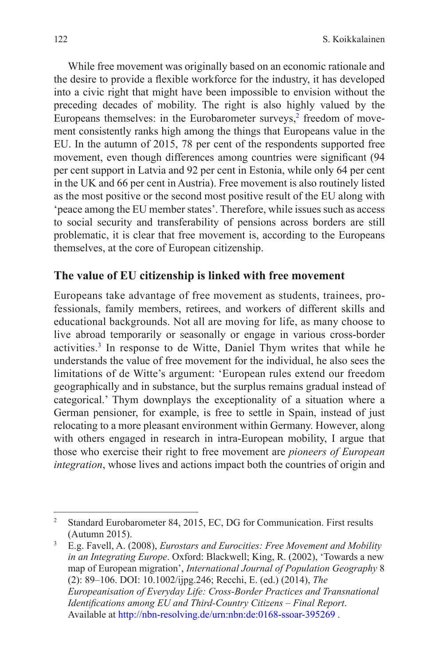While free movement was originally based on an economic rationale and the desire to provide a flexible workforce for the industry, it has developed into a civic right that might have been impossible to envision without the preceding decades of mobility. The right is also highly valued by the Europeans themselves: in the Eurobarometer surveys, $2$  freedom of movement consistently ranks high among the things that Europeans value in the EU. In the autumn of 2015, 78 per cent of the respondents supported free movement, even though differences among countries were significant (94 per cent support in Latvia and 92 per cent in Estonia, while only 64 per cent in the UK and 66 per cent in Austria). Free movement is also routinely listed as the most positive or the second most positive result of the EU along with 'peace among the EU member states'. Therefore, while issues such as access to social security and transferability of pensions across borders are still problematic, it is clear that free movement is, according to the Europeans themselves, at the core of European citizenship.

#### **The value of EU citizenship is linked with free movement**

Europeans take advantage of free movement as students, trainees, professionals, family members, retirees, and workers of different skills and educational backgrounds. Not all are moving for life, as many choose to live abroad temporarily or seasonally or engage in various cross-border activities.<sup>[3](#page-2-1)</sup> In response to de Witte, Daniel Thym writes that while he understands the value of free movement for the individual, he also sees the limitations of de Witte's argument: 'European rules extend our freedom geographically and in substance, but the surplus remains gradual instead of categorical.' Thym downplays the exceptionality of a situation where a German pensioner, for example, is free to settle in Spain, instead of just relocating to a more pleasant environment within Germany. However, along with others engaged in research in intra-European mobility, I argue that those who exercise their right to free movement are *pioneers of European integration*, whose lives and actions impact both the countries of origin and

<span id="page-2-0"></span><sup>&</sup>lt;sup>2</sup> Standard Eurobarometer 84, 2015, EC, DG for Communication. First results (Autumn 2015).

<span id="page-2-1"></span><sup>3</sup> E.g. Favell, A. (2008), *Eurostars and Eurocities: Free Movement and Mobility in an Integrating Europe*. Oxford: Blackwell; King, R. (2002), 'Towards a new map of European migration', *International Journal of Population Geography* 8 (2): 89–106. DOI: 10.1002/ijpg.246; Recchi, E. (ed.) (2014), *The Europeanisation of Everyday Life: Cross-Border Practices and Transnational Identifications among EU and Third-Country Citizens – Final Report*. Available at <http://nbn-resolving.de/urn:nbn:de:0168-ssoar-395269> .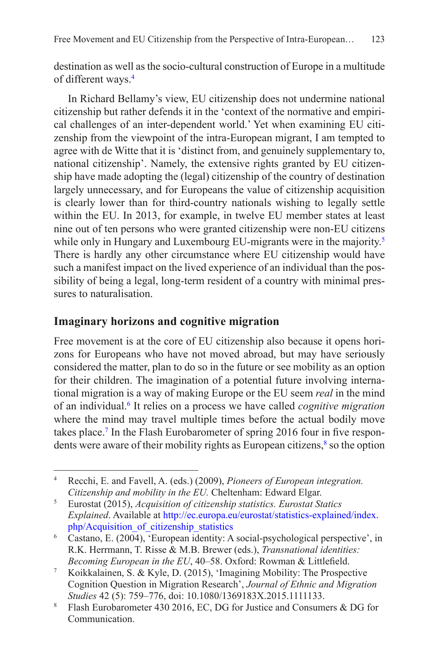destination as well as the socio-cultural construction of Europe in a multitude of different ways.[4](#page-3-0)

In Richard Bellamy's view, EU citizenship does not undermine national citizenship but rather defends it in the 'context of the normative and empirical challenges of an inter-dependent world.' Yet when examining EU citizenship from the viewpoint of the intra-European migrant, I am tempted to agree with de Witte that it is 'distinct from, and genuinely supplementary to, national citizenship'. Namely, the extensive rights granted by EU citizenship have made adopting the (legal) citizenship of the country of destination largely unnecessary, and for Europeans the value of citizenship acquisition is clearly lower than for third-country nationals wishing to legally settle within the EU. In 2013, for example, in twelve EU member states at least nine out of ten persons who were granted citizenship were non-EU citizens while only in Hungary and Luxembourg EU-migrants were in the majority.<sup>5</sup> There is hardly any other circumstance where EU citizenship would have such a manifest impact on the lived experience of an individual than the possibility of being a legal, long-term resident of a country with minimal pressures to naturalisation.

### **Imaginary horizons and cognitive migration**

Free movement is at the core of EU citizenship also because it opens horizons for Europeans who have not moved abroad, but may have seriously considered the matter, plan to do so in the future or see mobility as an option for their children. The imagination of a potential future involving international migration is a way of making Europe or the EU seem *real* in the mind of an individual.[6](#page-3-2) It relies on a process we have called *cognitive migration* where the mind may travel multiple times before the actual bodily move takes place.<sup>7</sup> In the Flash Eurobarometer of spring 2016 four in five respondents were aware of their mobility rights as European citizens,<sup>8</sup> so the option

<span id="page-3-0"></span><sup>4</sup> Recchi, E. and Favell, A. (eds.) (2009), *Pioneers of European integration. Citizenship and mobility in the EU.* Cheltenham: Edward Elgar.

<span id="page-3-1"></span><sup>5</sup> Eurostat (2015), *Acquisition of citizenship statistics. Eurostat Statics Explained*. Available at [http://ec.europa.eu/eurostat/statistics-explained/index.](http://ec.europa.eu/eurostat/statistics-explained/index.php/Acquisition_of_citizenship_statistics) [php/Acquisition\\_of\\_citizenship\\_statistics](http://ec.europa.eu/eurostat/statistics-explained/index.php/Acquisition_of_citizenship_statistics)

<span id="page-3-2"></span> $6\quad$  Castano, E. (2004), 'European identity: A social-psychological perspective', in R.K. Herrmann, T. Risse & M.B. Brewer (eds.), *Transnational identities: Becoming European in the EU*, 40–58. Oxford: Rowman & Littlefield.

<span id="page-3-3"></span><sup>7</sup> Koikkalainen, S. & Kyle, D. (2015), 'Imagining Mobility: The Prospective Cognition Question in Migration Research', *Journal of Ethnic and Migration Studies* 42 (5): 759–776, doi: 10.1080/1369183X.2015.1111133.

<span id="page-3-4"></span><sup>&</sup>lt;sup>8</sup> Flash Eurobarometer 430 2016, EC, DG for Justice and Consumers & DG for Communication.